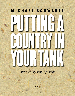# PUTTING **M I C H A E L S C H W A R T Z**

POUL BY N

### *Introduced by Tom Engelhardt*

YOUR HIT

**ColdType**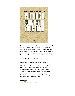

**Michael Schwartz**, Professor of Sociology and Faculty Director of the Undergraduate College of Global Studies at Stony Brook University, has written extensively on popular protest and insurgency, and on American business and government dynamics. His books include Radical Protest and Social Structure and Social Policy and The Conservative Agenda (edited, with Clarence Lo).

© Copyright 2007 Michael Schwartz

This essay originally appeared on the TomDispatch.com web site

*[Note: This commentary — and most of the useful work on the role of oil in Middle East and world politics — rests on the remarkable evidential and analytic foundation provided by Michael Klare's indispensable book, Blood and Oil,The Dangers and Consequences of America's Growing Dependency on Imported Petroleum. Readers who seek a full understanding of these issues should start with that text.]*

#### **ColdType**

WRITING WORTH READING FROM AROUND THE WORLD [www.coldtype.net](http://www.coldtype.net)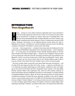#### **INTRODUCTION Tom Engelhardt**

**H** istory… phooey! Or, more mildly, Americans traditionally aren't much interested in it and the media largely don't have time for it either. For one thing, the past is often just so inconvenient. In October, for instance, there was a front-page piece in the New York Times by Elisabeth Bumiller on Robert Blackwill, one of the "Vulcans" who helped Condoleezza Rice advise George W. Bush on foreign policy during the 2000 election campaign, Iraq Director on the National Security Council during the reign in Baghdad of our viceroy L. Paul Bremer III, and the President's personal envoy to the faltering occupation (nicknamed "The Shadow"), among many other things.

He is now — here's a giant shock — a lobbyist. And, among those he's lobbying for (in this case to the tune of \$300,000) is Ayad Allawi, former CIA asset and head — back in Saddam's day — of an exile group, the Iraq National Accord. Bumiller identifies Allawi as "the first prime minister of the newly sovereign nation — America's man in Baghdad." She also refers to him as having had "close ties to the CIA" and points out that he was not just Bremer's, but Blackwill's "choice" to be prime minister back in 2004. Now, he's Blackwill's "choice" again. Allawi is, it seems, yet once more on deck, with his own K-Street lobbyist, ready to step in as prime minister if the present PM, Nouri al-Maliki, were to fall (or be shoved aside).

But there's another rather inconvenient truth about Allawi that goes unmentioned — and it's right off the front page of the New York Times, no less — a piece by Joel Brinkley, "Ex-C.I.A. Aides Say Iraq Leader Helped Agency in 90's Attacks," published in early June 2004, just at the moment when Allawi had been "designated" prime minister. In the early 1990s, Brinkley reported, Allawi's exile organization was, under the CIA's direction, planting car bombs and explosive devices in Baghdad (including in a movie theater) in a fruitless attempt to destabilize Saddam Hussein's regime. Of course, that was back when car bombs weren't considered the property of brutes like Sunni extremists, al-Qaeda in Iraq, and the Taliban. (Just as, inconveniently enough, back in the 1980s the CIA bankrolled and encouraged the training of Afghan "freedom fighters" in mounting car-bomb and even camel-bomb attacks in a terror campaign against Soviet officers and soldiers in Russian-occupied Afghan cities (techniques personally "endorsed," according to Steve Coll in his superb book Ghost Wars,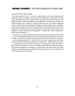by then-CIA Director William Casey).

But that was back in the day — just as, to randomly cite one more inconvenient piece of history also off the front page of the New York Times (Patrick Tyler, "Officers Say U.S. Aided Iraq in War Despite Use of Gas," August 18, 2002), years before we went into Iraq to take out Saddam's by then nonexistent weapons of mass destruction, we helped him use them. The Reagan Pentagon had a program in which 60 officers from the U.S. Defense Intelligence Agency "were secretly providing detailed information on Iranian deployments" to Saddam's forces, so that he could, among other things, wield his chemical weapons against them more effectively. ("The Pentagon 'wasn't so horrified by Iraq's use of gas,' said one veteran of the program. 'It was just another way of killing people — whether with a bullet or phosgene, it didn't make any difference.'")

Of course, when it comes to America's oily history in Iraq, there is just about no back-story — not on the front page of the New York Times, not basically in the mainstream. Even at this late date, with the price of crude threatening to head for the \$100 a barrel mark, Iraqi oil is — well, not exactly censored out — just (let's face it) so darn embarrassing to write about. In fact, now that all those other explanations for invading Iraq — WMD, freedom, you name it — have long since flown the coop, there really is no explanation (except utter folly) for Bush's invasion. So, better to move on, and quickly at that. These last months, however, we have returned repeatedly to the subject as a reminder that history, even when not in sight, matters. And the deeper you go, as Michael Schwartz proves here, the more likely you are to find that gusher you're looking for.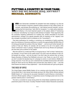#### **PUTTING A COUNTRY IN YOUR TANK: WHY DID WE INVADE IRAQ, ANYWAY? MICHAEL SCHWARTZ**

**L ATELY,** even Democratic candidates for president have been weighing in on why the U.S. must maintain a long-term, powerful military presence in Iraq. Hillary Clinton, for example, used phrases like protecting our "vital national security interests" and preventing Iraq from becoming a "petri dish for insurgents," in a major policy statement. Barack Obama, in his most important speech on the subject, talked of "maintaining our influence" and allowing "our troops to strike directly at al Qaeda." These arguments, like the constantly migrating justifications for invading Iraq, serially articulated by the Bush administration, manage to be vaguely plausible (with an emphasis on the "vaguely") and also strangely inconsistent (with an emphasis on the "inconsistent").

That these justifications for invading, or remaining, are unsatisfying is hardly surprising, given the reluctance of American politicians to mention the approximately \$10-\$30 trillion of oil lurking just beneath the surface of the Iraq "debate" — and not much further beneath the surface of Iraqi soil. Obama, for example, did not mention oil at all in his speech, while Clinton mentioned it twice in passing. President Bush and his top officials and spokespeople have been just as reticent on the subject.

Why then did the U.S. invade Iraq? Why is occupying Iraq so "vital" to those "national security interests" of ours? None of this makes sense if you don't have the patience to drill a little beneath the surface – and into the past; if you don't take into account that, as former Deputy Secretary of Defense Paul Wolfowitz once put it, Iraq "floats on a sea of oil"; and if you don't consider the decades-long U.S. campaign to control, in some fashion, Middle East energy reservoirs. If not, then you can't understand the incredible tenaciousness with which George W. Bush and his top officials have pursued their Iraqi dreams or why — now that those dreams are clearly so many nightmares — even the Democrats can't give up the ghost.

#### **THE RISE OF OPEC**

The United States viewed Middle Eastern oil as a precious prize long before the Iraq war. During World War II, that interest had already sprung to life: When British officials declared Middle Eastern oil "a vital prize for any power interested in world influence or domination," American officials agreed, calling it "a stupendous source of strategic power and one of the greatest material prizes in world history."

This led to a scramble for access during which the United States established itself as the preeminent power of the future. Crucially, President Franklin Delano Roosevelt successfully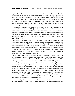negotiated an "oil for protection" agreement with King Abdul Aziz Ibn Saud of Saudi Arabia. That was 1945. From then on, the U.S. found itself actively (if often secretly) engaged in the region. American agents were deeply involved in the overthrow of a democratically elected Iranian government in 1953 (to reverse the nationalization of Iran's oil fields), as well as in the fateful establishment of a Baathist Party dictatorship in Iraq in the early 1960s (to prevent the ascendancy of leftists who, it was feared, would align the country with the Soviet Union, putting the country's oil in hock to the Soviet bloc).

U.S. influence in the Middle East began to wane in the 1970s, when the Organization of the Petroleum Exporting Countries (OPEC) was first formed to coordinate the production and pricing of oil on a worldwide basis. OPEC's power was consolidated as various countries created their own oil companies, nationalized their oil holdings, and wrested decision-making away from the "Seven Sisters," the Western oil giants — among them Shell, Texaco, and Standard Oil of New Jersey — that had previously dominated exploration, extraction, and sales of black gold.

With all the key oil exporters on board, OPEC began deciding just how much oil would be extracted and sold onto international markets. Once the group established that all members would follow collective decisions — because even a single major dissenter might fatally undermine the ability to turn the energy "spigot" on or off  $-$  it could use the threat of production restrictions, or the promise of expansion, to bargain with its most powerful trading partners. In effect, a new power bloc had emerged on the international scene that could in some circumstances — exact tangible concessions even from the United States and the Soviet Union, the two superpowers of the time.

Though the United States was largely self-sufficient in oil when OPEC was first formed, the American economy was still dependent on trading partners, particularly Japan and Europe, which themselves were dependent on Middle Eastern oil. The oil crises of the early 1970s, including the sometimes endless gas lines in the U.S., demonstrated OPEC's potential.

It was in this context that the American alliance with the Saudi royal family first became so crucial. With the largest petroleum reserves on the planet and the largest production capacity among OPEC members, Saudi Arabia was usually able to shape the cartel's policies to conform to its wishes. In response to this simple but essential fact, successive American presidents strengthened the Rooseveltian alliance, deepening economic and military relationships between the two countries. The Saudis, in turn, could normally be depended upon to use their leverage within OPEC to fit the group's actions into the broader aims of U.S. policy. In other words, Washington gained favorable OPEC policies mainly by arming, and propping up a Saudi regime that was chronically fragile.

Backed by a tiny elite that used immense oil revenues to service its own narrow interests, the Saudi royals subjected their impoverished population to an oppressively authoritarian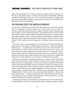regime. Not surprisingly, then, the "alliance" required increasing infusions of American military aid as well political support in situations that were often uncomfortable, sometimes untenable, for Washington. On its part, in an era of growing nationalism, the Saudis found overt pro-American policies difficult to sustain, given the pressures and proclivities of its OPEC partners and its own population.

#### **THE NEOCONS SEIZE THE UNIPOLAR MOMENT**

The key year in the Middle East would be 1979, when Iranians, who had lost their government to an American and British inspired coup in 1953, poured into the streets. The American-backed Shah's brutal regime fell to a popular revolution; American diplomats were taken hostage by Iranian student demonstrators; and Ayatollah Khomeini and the mullahs took power. The Iranian revolution added a combustible new element to an already complex and unstable equation. It was, in a sense, the match lit near the pipeline. A regime hostile to Washington, and not particularly amenable to Saudi pressure, had now become an active member of OPEC, aspiring to use the organization to challenge American economic hegemony.

It was at this moment, not surprisingly, that the militarization of American Middle Eastern policy came out of the shadows. In 1980, President Jimmy Carter — before his Habitat for Humanity days — enunciated what would become known as the "Carter Doctrine": that Persian Gulf oil was "vital" to American national interests and that the U.S. would use "any means necessary, including military force" to sustain access to it. To assure that "access," he announced the creation of a Rapid Deployment Joint Task Force, a new military command structure that would be able to deliver personnel from all the armed services, together with state-of-the-art military equipment, to any location in the Middle East at top speed.

Nurtured and expanded by succeeding presidents, this evolved into the United States Central Command (Centcom), which ended up in charge of all U.S. military activity in the Middle East and surrounding regions. It would prove the military foundation for the Gulf War of 1990, which rolled back Saddam Hussein's occupation of Kuwait, and therefore prevented him from gaining control of that country's oil reserves. Though it was not emphasized at the time, that first Gulf War was a crystalline application of the Carter Doctrine — that "any means necessary, including military force," should be used to guarantee American access to Middle Eastern oil. That war, in turn, convinced a shaky Saudi royal family — that saw Iraqi troops reach its border – to accept an ongoing American military presence within the country, a development meant to facilitate future applications of the Carter Doctrine, but which would have devastating unintended consequences.

The peaceful disintegration of the Soviet Union at almost the same moment seemed to signal that Washington now had uncontested global military supremacy, triggering a debate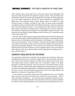within American policy circles about how to utilize and preserve what Washington Post columnist Charles Krauthammer first called the "unipolar moment." Future members of the administration of Bush the younger were especially fierce advocates for making aggressive use of this military superiority to enhance U.S. power everywhere, but especially in the Middle East. They eventually formed a policy advocacy group, The Project for a New American Century, to develop, and lobby for, their views. The group, whose membership included Dick Cheney, Donald Rumsfeld, Paul Wolfowitz and dozens of other key individuals who would hold important positions in the executive branch after George W. Bush took office, wrote an open letter to President Clinton in 1998 urging him to turn his "administration's attention to implementing a strategy for removing Saddam's regime from power." They cited both the Iraqi dictator's military belligerence and his control over "a significant portion of the world's supply of oil."

Two years later, the group issued a ringing policy statement that would be the guiding text for the new administration. Entitled Rebuilding America's Defenses, it advocated what would become known as a Rumsfeldian-style transformation of the Pentagon. U.S. military preeminence was to be utilized to "secure and expand'' American influence globally and possibly, in the cases of North Korea and Iraq, used "to remove these regimes from power and conduct post-combat stability operations." (The document even commented on the problem of defusing American domestic resistance to such an aggressive stance, noting ominously that public approval could not be obtained without "some catastrophic and catalyzing event like a new Pearl Harbor.")

#### **SADDAM'S IRAQ AND OIL ON THE BRAIN**

The second Bush administration ascended to the presidency just as American influence in the Middle East looked to be on the decline. Despite victory in the first Gulf War and the fall of the Soviet Union, American influence over OPEC and oil policies seemed under threat. That sucking sound everyone suddenly heard was a tremendous increase in the global demand for oil. With fears rising that, in the very near future, such demand could put a strain on OPEC's resources, member states began negotiating ever more vigorously for a range of concessions and expanded political power in exchange for expanded energy production. By this time, of course, the United States had joined the ranks of the energy deficient and dependent, as imported oil surged past the 50% mark.

In the meantime, key ally Saudi Arabia was further weakened by the rise of al-Qaeda, which took as its main goal the overthrow of the royal family, and its key target — think of those unintended consequences — the American troops triumphantly stationed at permanent bases in the country after Gulf War I. They seemed to confirm the accusations of Osama bin Laden and other Saudi dissidents that the royal family had indeed become little but a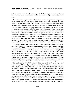tool of American imperialism. This, in turn, made the Saudi royals increasingly reluctant hosts for those troops and ever more hesitant supporters of pro-American policies within OPEC.

The situation was complicated further by what was obvious to any observer: The potential future leverage that both Iraq and Iran might wield in OPEC. With the second and third largest oil reserves on the planet — Iran also had the second largest reserves of natural gas — their influence seemed bound to rise. Iraq's, in particular, would be amplified substantially as soon as Saddam Hussein's regime was freed from severe limitations imposed by postwar UN sanctions, which prevented it from either developing new oil fields or upgrading its deteriorating energy infrastructure. Though the leaders of the two countries were enemies, having fought a bitter war in the 1980s, they could agree, at least, on energy policies aimed at thwarting American desires or demands — a position only strengthened in 1998 when the citizens of Venezuela, the most important OPEC member outside the Middle East, elected the decidedly anti-American Hugo Chavez as president. In other words, in January 2001, the new administration in Washington could look forward to negotiating oil policy not only with a reluctant Saudi royal family, but also a coterie of hostile powers in a strengthened OPEC.

It is hardly surprising, then, that the new administration, bent on unipolarity anyway and dreaming of a global Pax Americana, wasted no time implementing the aggressive policies advocated in the PNAC manifesto. According to then Secretary of the Treasury Paul O'Neill in his memoir *The Price of Loyalty,* Iraq was much on the mind of Defense Secretary Donald Rumsfeld at the first meeting of the National Security Council on January 30, 2001, seven months before the 9/11 attacks. At that meeting, Rumsfeld argued that the Clinton administration's Middle Eastern focus on Israel-Palestine should be unceremoniously dumped. "[W]hat we really want to think about," he reportedly said, "is going after Saddam." Regime change in Iraq, he argued, would allow the U.S. to enhance the situation of the pro-American Kurds, redirect Iraq toward a market economy, and guarantee a favorable oil policy.

The adjudication of Rumsfeld's recommendation was shuffled off to the mysterious National Energy Policy Development Group that Vice President Cheney convened as soon as Bush took occupancy of the Oval Office. This task force quickly decided that enhanced American influence over the production and sale of Middle East oil should be "a primary focus of U.S. international energy policy," relegating both the development of alternative energy sources and domestic energy conservation measures to secondary, or even tertiary, status. A central goal of the administration's Middle East focus would be to convince, or coerce, states in that region "to open up areas of their energy sectors to foreign investment"; that is, to replace government control of the oil spigot — the linchpin of OPEC power — with decision-making by multinational oil companies headquartered in the West and responsive to U.S. policy needs. If such a program could be extended even to a substantial minority of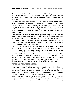Middle Eastern oil fields, it would prevent coordinated decision-making and constrain, if not break, the power of OPEC. This was a theoretically enticing way to staunch the loss of American power in the region and truly turn the Bush years into a new unipolar moment in the Middle East.

Having determined its goals, the Task Force began laying out a more detailed strategy. According to Jane Mayer of the New Yorker, the most significant innovation was to be a close collaboration between Cheney's energy crew and the National Security Council (NSC). The NSC evidently agreed "to cooperate fully with the Energy Task Force as it considered the 'melding' of two seemingly unrelated areas of policy: 'the review of operational policies towards rogue states,' such as Iraq, and 'actions regarding the capture of new and existing oil and gas fields.'"

Though all these deliberations were secret, enough of what was going on has emerged in these last years to demonstrate that the "melding" process was successful. By March of 2001, according to O'Neill, who was a member of both the NSC and the task force:

'"Actual plans.... were already being discussed to take over Iraq and occupy it — complete with disposition of oil fields, peacekeeping forces, and war crimes tribunals — carrying forward an unspoken doctrine of preemptive war."

O'Neill also reported that, by the time of the 9/11 attacks on the World Trade Center and the Pentagon, the plan for conquering Iraq had been developed and that Secretary of Defense Rumsfeld indeed urged just such an attack at the first National Security Council meeting convened to discuss how the U.S. should react to the disaster. After several days of discussion, an attack on Iraq was postponed until after al-Qaeda had been wiped out and the Taliban driven from power in Afghanistan. It took only until January 2002 — three months of largely successful fighting in Afghanistan — before the "administration focus was returning to Iraq." It wasn't until November 2002, though, that O'Neill heard the President himself endorse the invasion plans, which took place the following March 20th.

#### **THE LOGIC OF REGIME CHANGE**

With this background, it's easier to understand the recent brief, but highly significant, flurry of controversy over a single sentence in *The Age of Turbulence*, the bestselling, over-500 page memoir by longtime Federal Reserve Chairman Alan Greenspan. He wrote simply, as if this were utterly self-evident: "I am saddened that it is politically inconvenient to acknowledge what everyone knows: the Iraq war is largely about oil." As the first major government official to make such a statement, he was asked repeatedly to explain his thinking, particularly since his comment was immediately repudiated by various government officials, including White House spokesman Tony Fratto, who labeled it "Georgetown cocktail party analysis."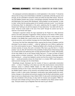His subsequent comments elaborated on a brief explanation in the memoir: "It should be obvious that as long as the United States is beholden to potentially unfriendly sources of oil and gas, we are vulnerable to economic crises over which we have little control." Since former ally Saddam Hussein was, by then, unremittingly unfriendly, Greenspan felt that (as he told Washington Post reporter Bob Woodward) "taking Saddam out was essential" in order to make "certain that the existing system [of oil markets] continues to work." In an interview at Democracy Now! he elaborated on this point, explaining that his support for ousting Hussein had "nothing to do with the weapons of mass destruction," but rather with the economic "threat he could create to the rest of the world" through his control over key oil reserves in the Persian Gulf region.

Greenspan's argument echoes the logic expressed by the Project for a New American Century and other advocates of aggressive military solutions to the threat of OPEC power. He was concerned that Saddam Hussein, once an ally, but by then a sworn enemy of U.S. interests in the Middle East, would control key oil flows. That, in turn, might allow him to exercise economic, and so political, leverage over the United States and its allies.

The former Fed chief then elaborated further, arguing that the threat of Saddam could be eliminated "by one means or another" — either by "getting him out of office or getting him out of the control position he was in." Replacing Saddam with a friendly, pro-American government seemed, of course, like such a no-brainer. Why have a guy like that in a "control position" over oil, after all? (And think of the possibility of taking those embarrassing troops out of Saudi Arabia and stationing them at large permanent bases in nearby, well-situated, oil-rich Iraq.) Better by far, as the Cheney Energy Task put it, "to open up areas of [Iraq's] energy sectors to foreign investment." Like the Task Force members, Greenspan believed that removing oil — not just from Saddam's control, but from the control of any Iraqi government — would permanently remove the threat that it or a broken OPEC could continue to wield economic leverage over the United States.

Revealingly enough, Greenspan saw the invasion of Iraq as a generically conservative action — a return, if anything, to the status quo ante that would preserve unencumbered American access to sufficient Middle Eastern oil. With whole new energy-devouring economies coming on line in Asia, continued American access seemed to require stripping key Middle Eastern nations of the economic and political power that scarcity had already begun to confer. In other words, Greenspan's conservative urge implied exactly the revolutionary changes in the political and economic equation that the Bush administration would begin to test out so disastrously in Iraq in March 2003. It's also worth remembering that Iraq was only considered a first pit stop, an easy mark for invasion and occupation. PNAC-nurtured eyes were already turning to Iran by then as indicated by the classic prewar neocon quip, "Everyone wants to go to Baghdad. Real men want to go to Tehran."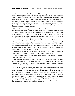And beyond this set of radical changes in the Middle East lay another set for the rest of the world. In the twenty-first century, expanding energy demand will, sooner or later (probably sooner), outdistance production. The goal of unfettered American access to sufficient Middle Eastern oil would, if achieved and sustained, deprive other countries of sufficient oil, or require them to satisfy U.S. demands in order to access it. In other words, Greenspan's conservative effort to preserve American access implied a dramatic increase in American leverage over all countries that depended on oil for their economic welfare; that is, a radical transformation of the global balance of power.

Notice that these ambitions, and the actions taken to implement them, rested on a vision of an imperial America that should, could, and would play a uniquely dominant, problemsolving role in world affairs. All other countries would, of course, continue to be "vulnerable to economic crises" over which they would have "little control." Only the United States had the essential right to threaten, or simply apply, overwhelming military power to the "problem" of energy; only it had the right to subdue any country that attempted to create — or exploit — an energy crisis, or that simply had the potential and animus to do so.

None of this was lost on the unipolar-minded officials who made the decision to invade Iraq — and were more ready than any previous administration to spell out, shock-and-awe style, a new stronger version of the Carter Doctrine for the planet. According to Treasury Secretary O'Neill, Rumsfeld offered a vision of the grandiosity of these goals at the first Bush administration National Security Council meeting:

"Imagine what the region would look like without Saddam and with a regime that's aligned with U.S. interests. It would change everything in the region and beyond."

An even more grandiose vision was offered to the New York Times by presidential speech writer David Frum a few days later:

"An American-led overthrow of Saddam Hussein, and the replacement of the radical Baathist dictatorship with a new government more closely aligned with the United States, would put America more wholly in charge of the region than any power since the Ottomans, or maybe even the Romans."

As worldwide demand for hydrocarbons soared, the United States was left with three policy choices: It could try to combine alternative energy sources with rigorous conservation to reduce or eliminate a significant portion of energy imports; it could accept the leverage conferred on OPEC by the energy crunch and attempt to negotiate for an adequate share of what might soon enough become an inadequate supply; or it could use its military power in an effort to coerce Middle East suppliers into satisfying American requirements at the expense of everyone else. Beginning with Jimmy Carter, five U.S. presidents chose the coercive strategy, with George W. Bush finally deciding that violent, preemptive regime change was needed to make it work. The other options remain unexplored.